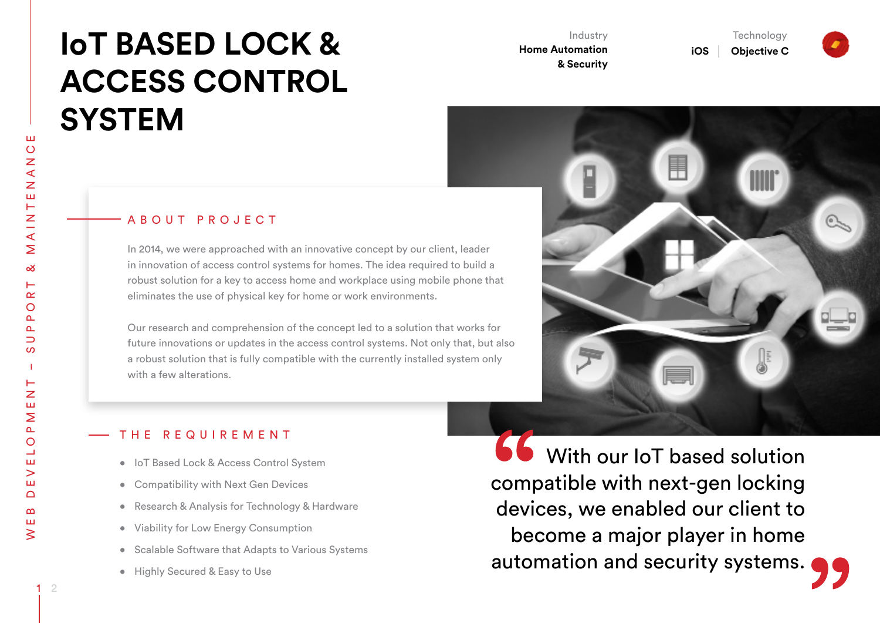# **IoT BASED LOCK & ACCESS CONTROL SYSTEM**

Industry **Home Automation & Security** 

**Technology Objective C**

**iOS** 





#### A B O U T P R O J E C T

In 2014, we were approached with an innovative concept by our client, leader in innovation of access control systems for homes. The idea required to build a robust solution for a key to access home and workplace using mobile phone that eliminates the use of physical key for home or work environments.

Our research and comprehension of the concept led to a solution that works for future innovations or updates in the access control systems. Not only that, but also a robust solution that is fully compatible with the currently installed system only with a few alterations.

## THE REQUIREMENT

- • IoT Based Lock & Access Control System
- • Compatibility with Next Gen Devices
- Research & Analysis for Technology & Hardware
- • Viability for Low Energy Consumption
- Scalable Software that Adapts to Various Systems
- Highly Secured & Easy to Use

**66** With our IoT based solution compatible with next-gen locking devices, we enabled our client to become a major player in home automation and security systems.